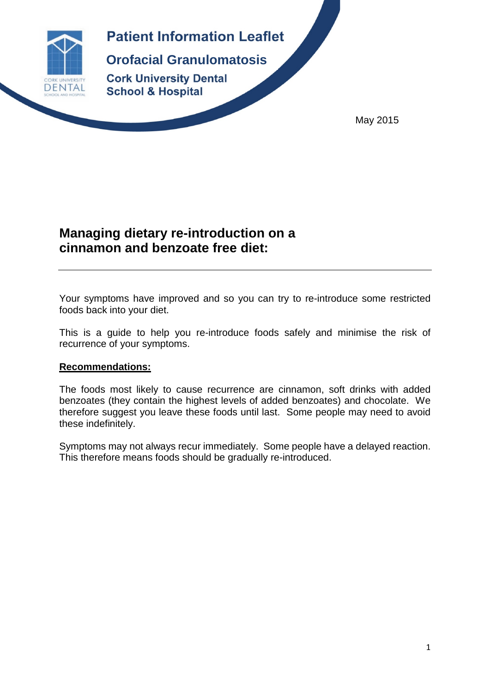

# **Patient Information Leaflet**

**Orofacial Granulomatosis Cork University Dental School & Hospital** 

May 2015

# **Managing dietary re-introduction on a cinnamon and benzoate free diet:**

Your symptoms have improved and so you can try to re-introduce some restricted foods back into your diet.

This is a guide to help you re-introduce foods safely and minimise the risk of recurrence of your symptoms.

## **Recommendations:**

The foods most likely to cause recurrence are cinnamon, soft drinks with added benzoates (they contain the highest levels of added benzoates) and chocolate. We therefore suggest you leave these foods until last. Some people may need to avoid these indefinitely.

Symptoms may not always recur immediately. Some people have a delayed reaction. This therefore means foods should be gradually re-introduced.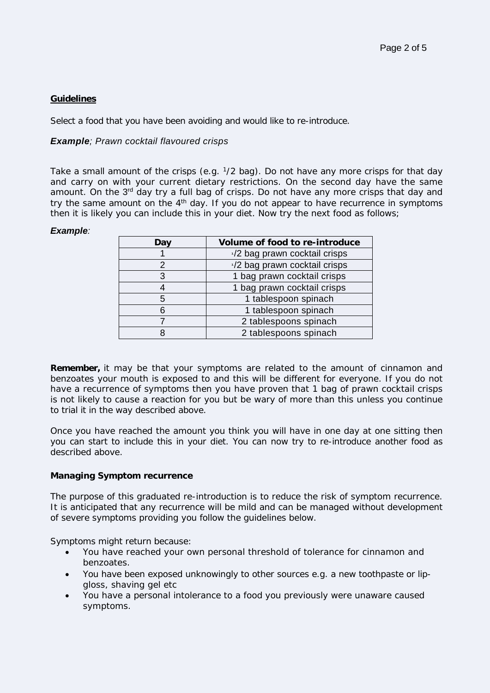### **Guidelines**

Select a food that you have been avoiding and would like to re-introduce.

### *Example; Prawn cocktail flavoured crisps*

Take a small amount of the crisps (e.g.  $1/2$  bag). Do not have any more crisps for that day and carry on with your current dietary restrictions. On the second day have the same amount. On the 3<sup>rd</sup> day try a full bag of crisps. Do not have any more crisps that day and try the same amount on the  $4<sup>th</sup>$  day. If you do not appear to have recurrence in symptoms then it is likely you can include this in your diet. Now try the next food as follows;

#### *Example:*

| Day | Volume of food to re-introduce |  |  |  |
|-----|--------------------------------|--|--|--|
|     | 1/2 bag prawn cocktail crisps  |  |  |  |
|     | 1/2 bag prawn cocktail crisps  |  |  |  |
|     | 1 bag prawn cocktail crisps    |  |  |  |
|     | 1 bag prawn cocktail crisps    |  |  |  |
| 5   | 1 tablespoon spinach           |  |  |  |
|     | 1 tablespoon spinach           |  |  |  |
|     | 2 tablespoons spinach          |  |  |  |
|     | 2 tablespoons spinach          |  |  |  |

**Remember,** it may be that your symptoms are related to the amount of cinnamon and benzoates your mouth is exposed to and this will be different for everyone. If you do not have a recurrence of symptoms then you have proven that 1 bag of prawn cocktail crisps is not likely to cause a reaction for you but be wary of more than this unless you continue to trial it in the way described above.

Once you have reached the amount you think you will have in one day at one sitting then you can start to include this in your diet. You can now try to re-introduce another food as described above.

#### **Managing Symptom recurrence**

The purpose of this graduated re-introduction is to reduce the risk of symptom recurrence. It is anticipated that any recurrence will be mild and can be managed without development of severe symptoms providing you follow the guidelines below.

Symptoms might return because:

- You have reached your own personal threshold of tolerance for cinnamon and benzoates.
- You have been exposed unknowingly to other sources e.g. a new toothpaste or lipgloss, shaving gel etc
- You have a personal intolerance to a food you previously were unaware caused symptoms.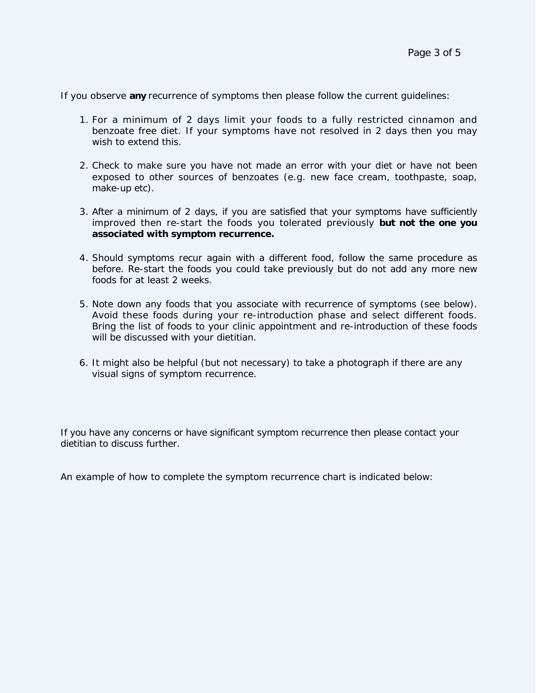If you observe **any** recurrence of symptoms then please follow the current guidelines:

- 1. For a minimum of 2 days limit your foods to a fully restricted cinnamon and benzoate free diet. If your symptoms have not resolved in 2 days then you may wish to extend this.
- 2. Check to make sure you have not made an error with your diet or have not been exposed to other sources of benzoates (e.g. new face cream, toothpaste, soap, make-up etc).
- 3. After a minimum of 2 days, if you are satisfied that your symptoms have sufficiently improved then re-start the foods you tolerated previously **but not the one you associated with symptom recurrence.**
- 4. Should symptoms recur again with a different food, follow the same procedure as before. Re-start the foods you could take previously but do not add any more new foods for at least 2 weeks.
- 5. Note down any foods that you associate with recurrence of symptoms (see below). Avoid these foods during your re-introduction phase and select different foods. Bring the list of foods to your clinic appointment and re-introduction of these foods will be discussed with your dietitian.
- 6. It might also be helpful (but not necessary) to take a photograph if there are any visual signs of symptom recurrence.

If you have any concerns or have significant symptom recurrence then please contact your dietitian to discuss further.

An example of how to complete the symptom recurrence chart is indicated below: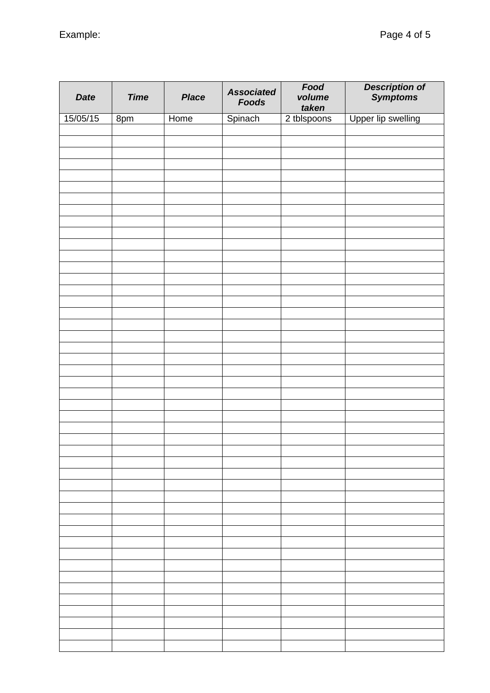| <b>Date</b> | <b>Time</b>     | <b>Place</b> | <b>Associated</b><br><b>Foods</b> | Food<br>volume<br>taken | Description of<br>Symptoms |
|-------------|-----------------|--------------|-----------------------------------|-------------------------|----------------------------|
| 15/05/15    | 8 <sub>pm</sub> | Home         | Spinach                           | 2 tblspoons             | Upper lip swelling         |
|             |                 |              |                                   |                         |                            |
|             |                 |              |                                   |                         |                            |
|             |                 |              |                                   |                         |                            |
|             |                 |              |                                   |                         |                            |
|             |                 |              |                                   |                         |                            |
|             |                 |              |                                   |                         |                            |
|             |                 |              |                                   |                         |                            |
|             |                 |              |                                   |                         |                            |
|             |                 |              |                                   |                         |                            |
|             |                 |              |                                   |                         |                            |
|             |                 |              |                                   |                         |                            |
|             |                 |              |                                   |                         |                            |
|             |                 |              |                                   |                         |                            |
|             |                 |              |                                   |                         |                            |
|             |                 |              |                                   |                         |                            |
|             |                 |              |                                   |                         |                            |
|             |                 |              |                                   |                         |                            |
|             |                 |              |                                   |                         |                            |
|             |                 |              |                                   |                         |                            |
|             |                 |              |                                   |                         |                            |
|             |                 |              |                                   |                         |                            |
|             |                 |              |                                   |                         |                            |
|             |                 |              |                                   |                         |                            |
|             |                 |              |                                   |                         |                            |
|             |                 |              |                                   |                         |                            |
|             |                 |              |                                   |                         |                            |
|             |                 |              |                                   |                         |                            |
|             |                 |              |                                   |                         |                            |
|             |                 |              |                                   |                         |                            |
|             |                 |              |                                   |                         |                            |
|             |                 |              |                                   |                         |                            |
|             |                 |              |                                   |                         |                            |
|             |                 |              |                                   |                         |                            |
|             |                 |              |                                   |                         |                            |
|             |                 |              |                                   |                         |                            |
|             |                 |              |                                   |                         |                            |
|             |                 |              |                                   |                         |                            |
|             |                 |              |                                   |                         |                            |
|             |                 |              |                                   |                         |                            |
|             |                 |              |                                   |                         |                            |
|             |                 |              |                                   |                         |                            |
|             |                 |              |                                   |                         |                            |
|             |                 |              |                                   |                         |                            |
|             |                 |              |                                   |                         |                            |
|             |                 |              |                                   |                         |                            |
|             |                 |              |                                   |                         |                            |